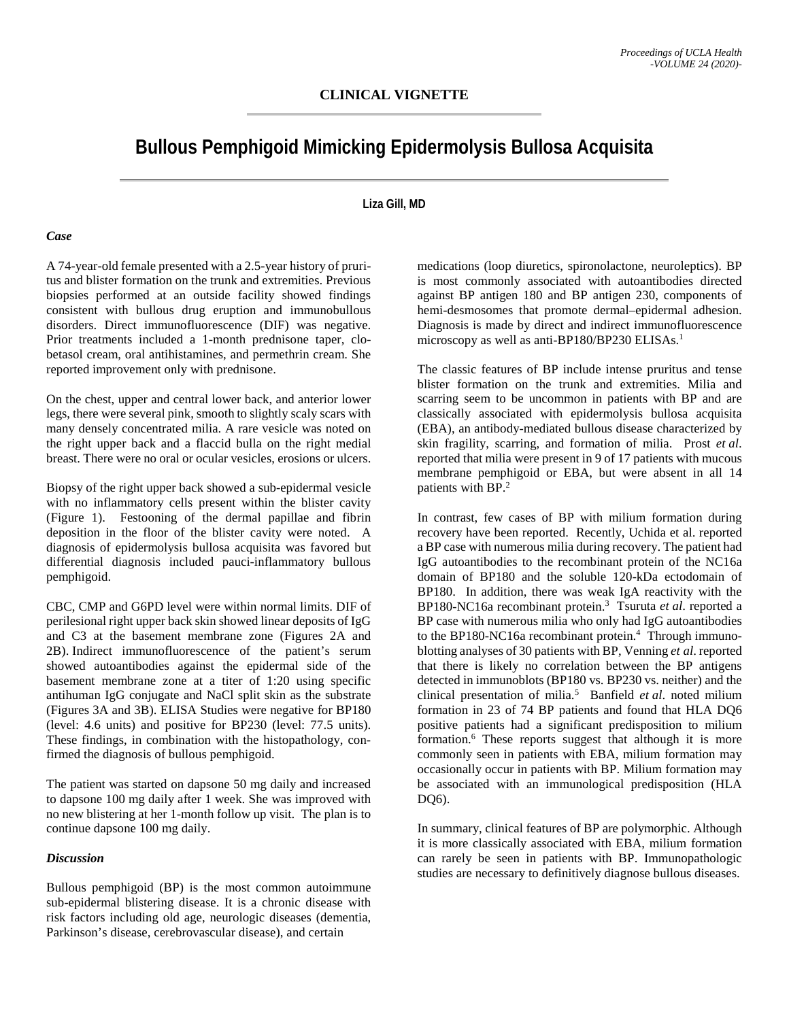# **Bullous Pemphigoid Mimicking Epidermolysis Bullosa Acquisita**

# **Liza Gill, MD**

### *Case*

A 74-year-old female presented with a 2.5-year history of pruritus and blister formation on the trunk and extremities. Previous biopsies performed at an outside facility showed findings consistent with bullous drug eruption and immunobullous disorders. Direct immunofluorescence (DIF) was negative. Prior treatments included a 1-month prednisone taper, clobetasol cream, oral antihistamines, and permethrin cream. She reported improvement only with prednisone.

On the chest, upper and central lower back, and anterior lower legs, there were several pink, smooth to slightly scaly scars with many densely concentrated milia. A rare vesicle was noted on the right upper back and a flaccid bulla on the right medial breast. There were no oral or ocular vesicles, erosions or ulcers.

Biopsy of the right upper back showed a sub-epidermal vesicle with no inflammatory cells present within the blister cavity (Figure 1). Festooning of the dermal papillae and fibrin deposition in the floor of the blister cavity were noted. A diagnosis of epidermolysis bullosa acquisita was favored but differential diagnosis included pauci-inflammatory bullous pemphigoid.

CBC, CMP and G6PD level were within normal limits. DIF of perilesional right upper back skin showed linear deposits of IgG and C3 at the basement membrane zone (Figures 2A and 2B). Indirect immunofluorescence of the patient's serum showed autoantibodies against the epidermal side of the basement membrane zone at a titer of 1:20 using specific antihuman IgG conjugate and NaCl split skin as the substrate (Figures 3A and 3B). ELISA Studies were negative for BP180 (level: 4.6 units) and positive for BP230 (level: 77.5 units). These findings, in combination with the histopathology, confirmed the diagnosis of bullous pemphigoid.

The patient was started on dapsone 50 mg daily and increased to dapsone 100 mg daily after 1 week. She was improved with no new blistering at her 1-month follow up visit. The plan is to continue dapsone 100 mg daily.

#### *Discussion*

Bullous pemphigoid (BP) is the most common autoimmune sub-epidermal blistering disease. It is a chronic disease with risk factors including old age, neurologic diseases (dementia, Parkinson's disease, cerebrovascular disease), and certain

medications (loop diuretics, spironolactone, neuroleptics). BP is most commonly associated with autoantibodies directed against BP antigen 180 and BP antigen 230, components of hemi-desmosomes that promote dermal–epidermal adhesion. Diagnosis is made by direct and indirect immunofluorescence microscopy as well as anti-BP180/BP230 ELISAs.<sup>1</sup>

The classic features of BP include intense pruritus and tense blister formation on the trunk and extremities. Milia and scarring seem to be uncommon in patients with BP and are classically associated with epidermolysis bullosa acquisita (EBA), an antibody-mediated bullous disease characterized by skin fragility, scarring, and formation of milia. Prost *et al*. reported that milia were present in 9 of 17 patients with mucous membrane pemphigoid or EBA, but were absent in all 14 patients with BP.2

In contrast, few cases of BP with milium formation during recovery have been reported. Recently, Uchida et al. reported a BP case with numerous milia during recovery. The patient had IgG autoantibodies to the recombinant protein of the NC16a domain of BP180 and the soluble 120-kDa ectodomain of BP180. In addition, there was weak IgA reactivity with the BP180-NC16a recombinant protein.3 Tsuruta *et al*. reported a BP case with numerous milia who only had IgG autoantibodies to the BP180-NC16a recombinant protein.<sup>4</sup> Through immunoblotting analyses of 30 patients with BP, Venning *et al*. reported that there is likely no correlation between the BP antigens detected in immunoblots (BP180 vs. BP230 vs. neither) and the clinical presentation of milia.5 Banfield *et al*. noted milium formation in 23 of 74 BP patients and found that HLA DQ6 positive patients had a significant predisposition to milium formation.6 These reports suggest that although it is more commonly seen in patients with EBA, milium formation may occasionally occur in patients with BP. Milium formation may be associated with an immunological predisposition (HLA DQ6).

In summary, clinical features of BP are polymorphic. Although it is more classically associated with EBA, milium formation can rarely be seen in patients with BP. Immunopathologic studies are necessary to definitively diagnose bullous diseases.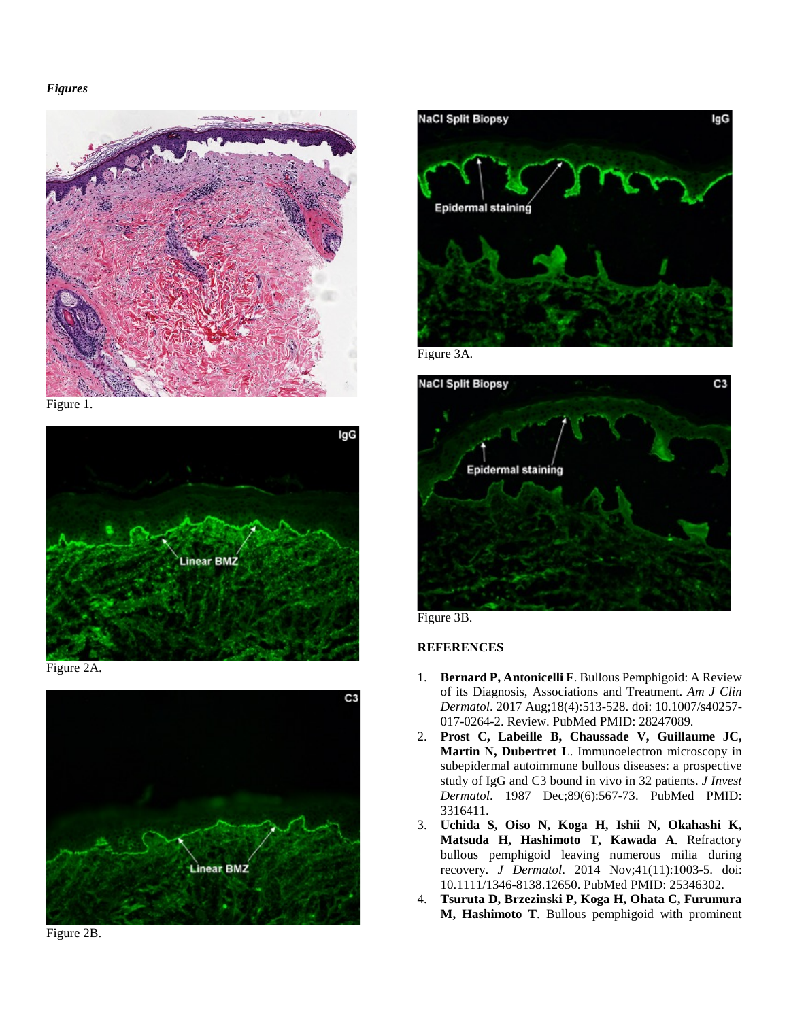## *Figures*



Figure 1.



Figure 2A.



Figure 2B.



Figure 3A.



Figure 3B.

## **REFERENCES**

- 1. **Bernard P, Antonicelli F**. Bullous Pemphigoid: A Review of its Diagnosis, Associations and Treatment. *Am J Clin Dermatol*. 2017 Aug;18(4):513-528. doi: 10.1007/s40257- 017-0264-2. Review. PubMed PMID: 28247089.
- 2. **Prost C, Labeille B, Chaussade V, Guillaume JC, Martin N, Dubertret L**. Immunoelectron microscopy in subepidermal autoimmune bullous diseases: a prospective study of IgG and C3 bound in vivo in 32 patients. *J Invest Dermatol*. 1987 Dec;89(6):567-73. PubMed PMID: 3316411.
- 3. **Uchida S, Oiso N, Koga H, Ishii N, Okahashi K, Matsuda H, Hashimoto T, Kawada A**. Refractory bullous pemphigoid leaving numerous milia during recovery. *J Dermatol*. 2014 Nov;41(11):1003-5. doi: 10.1111/1346-8138.12650. PubMed PMID: 25346302.
- 4. **Tsuruta D, Brzezinski P, Koga H, Ohata C, Furumura M, Hashimoto T**. Bullous pemphigoid with prominent